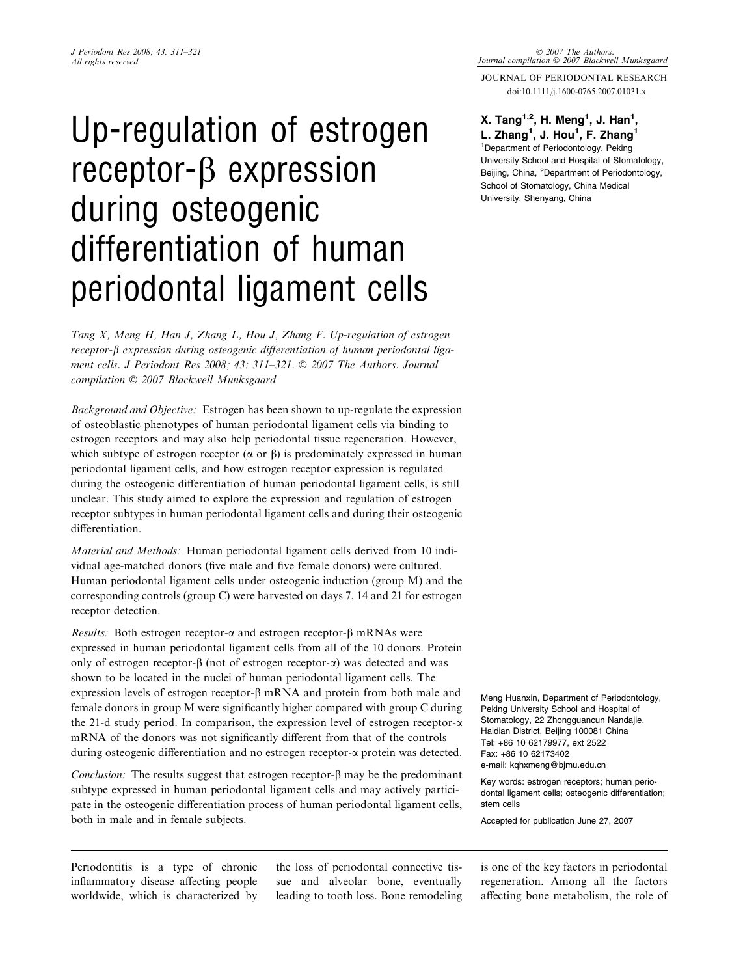# Up-regulation of estrogen  $receptor-B$  expression during osteogenic differentiation of human periodontal ligament cells

Tang X, Meng H, Han J, Zhang L, Hou J, Zhang F. Up-regulation of estrogen  $receptor-\beta$  expression during osteogenic differentiation of human periodontal ligament cells. J Periodont Res 2008; 43: 311–321. © 2007 The Authors. Journal compilation © 2007 Blackwell Munksgaard

Background and Objective: Estrogen has been shown to up-regulate the expression of osteoblastic phenotypes of human periodontal ligament cells via binding to estrogen receptors and may also help periodontal tissue regeneration. However, which subtype of estrogen receptor  $(\alpha \text{ or } \beta)$  is predominately expressed in human periodontal ligament cells, and how estrogen receptor expression is regulated during the osteogenic differentiation of human periodontal ligament cells, is still unclear. This study aimed to explore the expression and regulation of estrogen receptor subtypes in human periodontal ligament cells and during their osteogenic differentiation.

Material and Methods: Human periodontal ligament cells derived from 10 individual age-matched donors (five male and five female donors) were cultured. Human periodontal ligament cells under osteogenic induction (group M) and the corresponding controls (group C) were harvested on days 7, 14 and 21 for estrogen receptor detection.

*Results:* Both estrogen receptor- $\alpha$  and estrogen receptor- $\beta$  mRNAs were expressed in human periodontal ligament cells from all of the 10 donors. Protein only of estrogen receptor- $\beta$  (not of estrogen receptor- $\alpha$ ) was detected and was shown to be located in the nuclei of human periodontal ligament cells. The expression levels of estrogen receptor- $\beta$  mRNA and protein from both male and female donors in group M were significantly higher compared with group C during the 21-d study period. In comparison, the expression level of estrogen receptor- $\alpha$ mRNA of the donors was not significantly different from that of the controls during osteogenic differentiation and no estrogen receptor-a protein was detected.

Conclusion: The results suggest that estrogen receptor- $\beta$  may be the predominant subtype expressed in human periodontal ligament cells and may actively participate in the osteogenic differentiation process of human periodontal ligament cells, both in male and in female subjects.

Periodontitis is a type of chronic inflammatory disease affecting people worldwide, which is characterized by the loss of periodontal connective tissue and alveolar bone, eventually leading to tooth loss. Bone remodeling JOURNAL OF PERIODONTAL RESEARCH doi:10.1111/j.1600-0765.2007.01031.x

© 2007 The Authors.<br>Journal compilation © 2007 Blackwell Munksgaara

# X. Tang<sup>1,2</sup>, H. Meng<sup>1</sup>, J. Han<sup>1</sup>,

L. Zhang<sup>1</sup>, J. Hou<sup>1</sup>, F. Zhang<sup>1</sup> 1 Department of Periodontology, Peking University School and Hospital of Stomatology, Beijing, China, <sup>2</sup>Department of Periodontology, School of Stomatology, China Medical University, Shenyang, China

Meng Huanxin, Department of Periodontology, Peking University School and Hospital of Stomatology, 22 Zhongguancun Nandajie, Haidian District, Beijing 100081 China Tel: +86 10 62179977, ext 2522 Fax: +86 10 62173402 e-mail: kqhxmeng@bjmu.edu.cn

Key words: estrogen receptors; human periodontal ligament cells; osteogenic differentiation; stem cells

Accepted for publication June 27, 2007

is one of the key factors in periodontal regeneration. Among all the factors affecting bone metabolism, the role of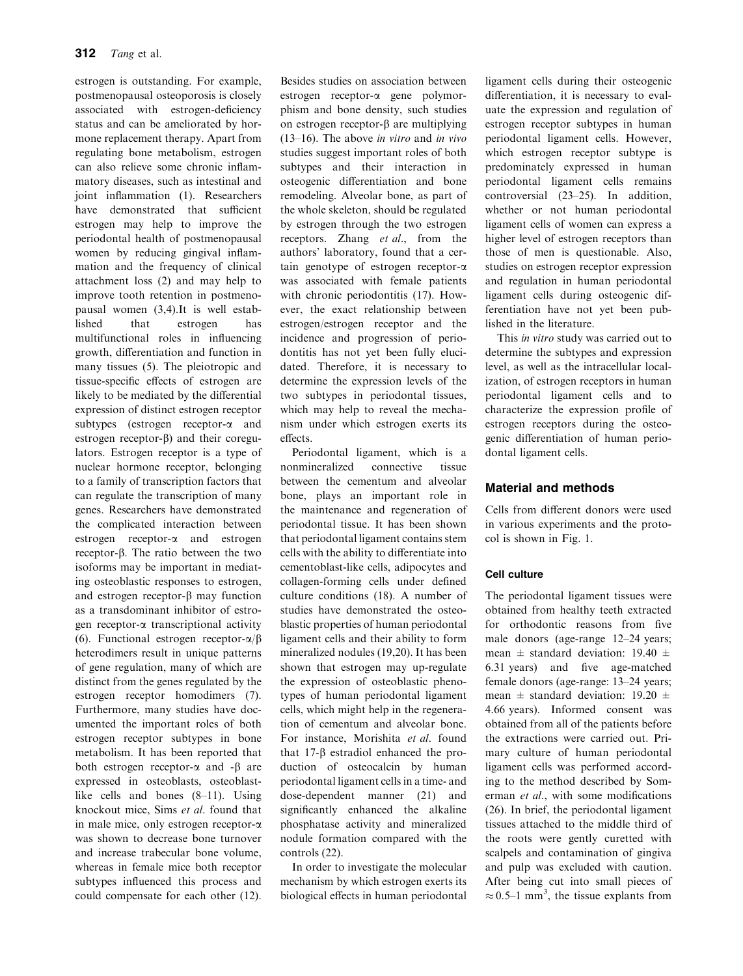estrogen is outstanding. For example, postmenopausal osteoporosis is closely associated with estrogen-deficiency status and can be ameliorated by hormone replacement therapy. Apart from regulating bone metabolism, estrogen can also relieve some chronic inflammatory diseases, such as intestinal and joint inflammation (1). Researchers have demonstrated that sufficient estrogen may help to improve the periodontal health of postmenopausal women by reducing gingival inflammation and the frequency of clinical attachment loss (2) and may help to improve tooth retention in postmenopausal women (3,4).It is well established that estrogen has multifunctional roles in influencing growth, differentiation and function in many tissues (5). The pleiotropic and tissue-specific effects of estrogen are likely to be mediated by the differential expression of distinct estrogen receptor subtypes (estrogen receptor-a and estrogen receptor- $\beta$ ) and their coregulators. Estrogen receptor is a type of nuclear hormone receptor, belonging to a family of transcription factors that can regulate the transcription of many genes. Researchers have demonstrated the complicated interaction between estrogen receptor-a and estrogen receptor-b. The ratio between the two isoforms may be important in mediating osteoblastic responses to estrogen, and estrogen receptor- $\beta$  may function as a transdominant inhibitor of estrogen receptor-a transcriptional activity (6). Functional estrogen receptor- $\alpha/\beta$ heterodimers result in unique patterns of gene regulation, many of which are distinct from the genes regulated by the estrogen receptor homodimers (7). Furthermore, many studies have documented the important roles of both estrogen receptor subtypes in bone metabolism. It has been reported that both estrogen receptor- $\alpha$  and - $\beta$  are expressed in osteoblasts, osteoblastlike cells and bones (8–11). Using knockout mice, Sims et al. found that in male mice, only estrogen receptor-a was shown to decrease bone turnover and increase trabecular bone volume, whereas in female mice both receptor subtypes influenced this process and could compensate for each other (12).

Besides studies on association between estrogen receptor-a gene polymorphism and bone density, such studies on estrogen receptor- $\beta$  are multiplying (13–16). The above in vitro and in vivo studies suggest important roles of both subtypes and their interaction in osteogenic differentiation and bone remodeling. Alveolar bone, as part of the whole skeleton, should be regulated by estrogen through the two estrogen receptors. Zhang et al., from the authors' laboratory, found that a certain genotype of estrogen receptor-a was associated with female patients with chronic periodontitis (17). However, the exact relationship between estrogen/estrogen receptor and the incidence and progression of periodontitis has not yet been fully elucidated. Therefore, it is necessary to determine the expression levels of the two subtypes in periodontal tissues, which may help to reveal the mechanism under which estrogen exerts its effects.

Periodontal ligament, which is a nonmineralized connective tissue between the cementum and alveolar bone, plays an important role in the maintenance and regeneration of periodontal tissue. It has been shown that periodontal ligament contains stem cells with the ability to differentiate into cementoblast-like cells, adipocytes and collagen-forming cells under defined culture conditions (18). A number of studies have demonstrated the osteoblastic properties of human periodontal ligament cells and their ability to form mineralized nodules (19,20). It has been shown that estrogen may up-regulate the expression of osteoblastic phenotypes of human periodontal ligament cells, which might help in the regeneration of cementum and alveolar bone. For instance, Morishita et al. found that  $17-\beta$  estradiol enhanced the production of osteocalcin by human periodontal ligament cells in a time- and dose-dependent manner (21) and significantly enhanced the alkaline phosphatase activity and mineralized nodule formation compared with the controls (22).

In order to investigate the molecular mechanism by which estrogen exerts its biological effects in human periodontal ligament cells during their osteogenic differentiation, it is necessary to evaluate the expression and regulation of estrogen receptor subtypes in human periodontal ligament cells. However, which estrogen receptor subtype is predominately expressed in human periodontal ligament cells remains controversial (23–25). In addition, whether or not human periodontal ligament cells of women can express a higher level of estrogen receptors than those of men is questionable. Also, studies on estrogen receptor expression and regulation in human periodontal ligament cells during osteogenic differentiation have not yet been published in the literature.

This in vitro study was carried out to determine the subtypes and expression level, as well as the intracellular localization, of estrogen receptors in human periodontal ligament cells and to characterize the expression profile of estrogen receptors during the osteogenic differentiation of human periodontal ligament cells.

# Material and methods

Cells from different donors were used in various experiments and the protocol is shown in Fig. 1.

# Cell culture

The periodontal ligament tissues were obtained from healthy teeth extracted for orthodontic reasons from five male donors (age-range 12–24 years; mean  $\pm$  standard deviation: 19.40  $\pm$ 6.31 years) and five age-matched female donors (age-range: 13–24 years; mean  $\pm$  standard deviation: 19.20  $\pm$ 4.66 years). Informed consent was obtained from all of the patients before the extractions were carried out. Primary culture of human periodontal ligament cells was performed according to the method described by Somerman et al., with some modifications (26). In brief, the periodontal ligament tissues attached to the middle third of the roots were gently curetted with scalpels and contamination of gingiva and pulp was excluded with caution. After being cut into small pieces of  $\approx$  0.5–1 mm<sup>3</sup>, the tissue explants from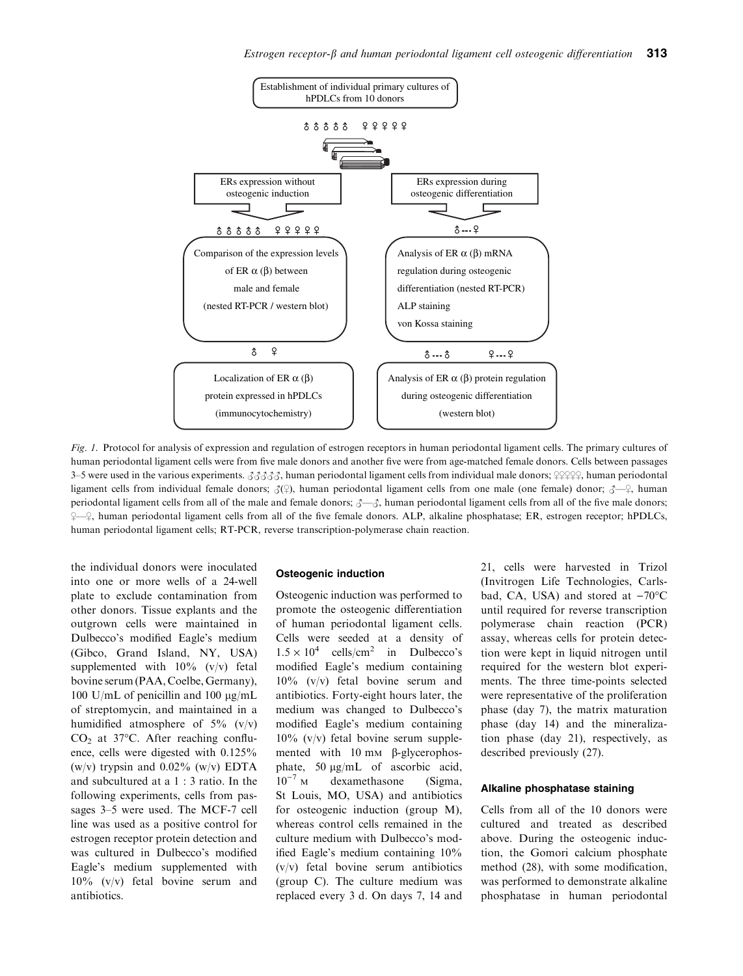

Fig. 1. Protocol for analysis of expression and regulation of estrogen receptors in human periodontal ligament cells. The primary cultures of human periodontal ligament cells were from five male donors and another five were from age-matched female donors. Cells between passages 3–5 were used in the various experiments.  $3333\%$ , human periodontal ligament cells from individual male donors;  $99999$ , human periodontal ligament cells from individual female donors;  $\mathcal{J}(\varphi)$ , human periodontal ligament cells from one male (one female) donor;  $\mathcal{J}-\varphi$ , human periodontal ligament cells from all of the male and female donors;  $\mathcal{J} - \mathcal{J}$ , human periodontal ligament cells from all of the five male donors;  $\frac{1}{2}$ , human periodontal ligament cells from all of the five female donors. ALP, alkaline phosphatase; ER, estrogen receptor; hPDLCs, human periodontal ligament cells; RT-PCR, reverse transcription-polymerase chain reaction.

the individual donors were inoculated into one or more wells of a 24-well plate to exclude contamination from other donors. Tissue explants and the outgrown cells were maintained in Dulbecco's modified Eagle's medium (Gibco, Grand Island, NY, USA) supplemented with  $10\%$  (v/v) fetal bovine serum (PAA, Coelbe, Germany), 100 U/mL of penicillin and 100  $\mu$ g/mL of streptomycin, and maintained in a humidified atmosphere of  $5\%$  (v/v)  $CO<sub>2</sub>$  at 37 $^{\circ}$ C. After reaching confluence, cells were digested with 0.125% (w/v) trypsin and  $0.02\%$  (w/v) EDTA and subcultured at a 1 : 3 ratio. In the following experiments, cells from passages 3–5 were used. The MCF-7 cell line was used as a positive control for estrogen receptor protein detection and was cultured in Dulbecco's modified Eagle's medium supplemented with 10% (v/v) fetal bovine serum and antibiotics.

#### Osteogenic induction

Osteogenic induction was performed to promote the osteogenic differentiation of human periodontal ligament cells. Cells were seeded at a density of  $1.5 \times 10^4$  cells/cm<sup>2</sup> in Dulbecco's modified Eagle's medium containing 10% (v/v) fetal bovine serum and antibiotics. Forty-eight hours later, the medium was changed to Dulbecco's modified Eagle's medium containing  $10\%$  (v/v) fetal bovine serum supplemented with  $10 \text{ mm}$   $\beta$ -glycerophosphate, 50  $\mu$ g/mL of ascorbic acid,  $10^{-7}$  M dexamethasone (Sigma, St Louis, MO, USA) and antibiotics for osteogenic induction (group M), whereas control cells remained in the culture medium with Dulbecco's modified Eagle's medium containing 10% (v/v) fetal bovine serum antibiotics (group C). The culture medium was replaced every 3 d. On days 7, 14 and

21, cells were harvested in Trizol (Invitrogen Life Technologies, Carlsbad, CA, USA) and stored at  $-70^{\circ}$ C until required for reverse transcription polymerase chain reaction (PCR) assay, whereas cells for protein detection were kept in liquid nitrogen until required for the western blot experiments. The three time-points selected were representative of the proliferation phase (day 7), the matrix maturation phase (day 14) and the mineralization phase (day 21), respectively, as described previously (27).

# Alkaline phosphatase staining

Cells from all of the 10 donors were cultured and treated as described above. During the osteogenic induction, the Gomori calcium phosphate method (28), with some modification, was performed to demonstrate alkaline phosphatase in human periodontal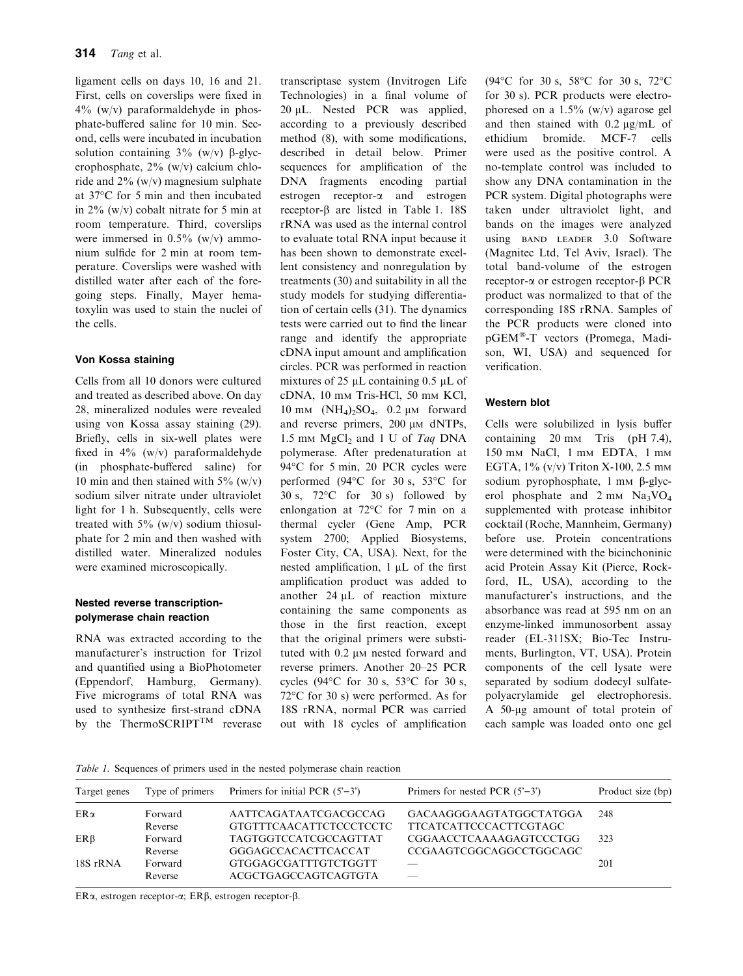ligament cells on days 10, 16 and 21. First, cells on coverslips were fixed in  $4\%$  (w/v) paraformaldehyde in phosphate-buffered saline for 10 min. Second, cells were incubated in incubation solution containing  $3\%$  (w/v)  $\beta$ -glycerophosphate, 2% (w/v) calcium chloride and 2% (w/v) magnesium sulphate at 37°C for 5 min and then incubated in 2% (w/v) cobalt nitrate for 5 min at room temperature. Third, coverslips were immersed in 0.5% (w/v) ammonium sulfide for 2 min at room temperature. Coverslips were washed with distilled water after each of the foregoing steps. Finally, Mayer hematoxylin was used to stain the nuclei of the cells.

# Von Kossa staining

Cells from all 10 donors were cultured and treated as described above. On day 28, mineralized nodules were revealed using von Kossa assay staining (29). Briefly, cells in six-well plates were fixed in  $4\%$  (w/v) paraformaldehyde (in phosphate-buffered saline) for 10 min and then stained with  $5\%$  (w/v) sodium silver nitrate under ultraviolet light for 1 h. Subsequently, cells were treated with  $5\%$  (w/v) sodium thiosulphate for 2 min and then washed with distilled water. Mineralized nodules were examined microscopically.

## Nested reverse transcriptionpolymerase chain reaction

RNA was extracted according to the manufacturer's instruction for Trizol and quantified using a BioPhotometer (Eppendorf, Hamburg, Germany). Five micrograms of total RNA was used to synthesize first-strand cDNA by the ThermoSCRIPT $<sup>TM</sup>$  reverase</sup> transcriptase system (Invitrogen Life Technologies) in a final volume of 20 uL. Nested PCR was applied, according to a previously described method (8), with some modifications, described in detail below. Primer sequences for amplification of the DNA fragments encoding partial estrogen receptor-a and estrogen receptor- $\beta$  are listed in Table 1. 18S rRNA was used as the internal control to evaluate total RNA input because it has been shown to demonstrate excellent consistency and nonregulation by treatments (30) and suitability in all the study models for studying differentiation of certain cells (31). The dynamics tests were carried out to find the linear range and identify the appropriate cDNA input amount and amplification circles. PCR was performed in reaction mixtures of 25  $\mu$ L containing 0.5  $\mu$ L of cDNA, 10 mM Tris-HCl, 50 mM KCl, 10 mm  $(NH_4)_2SO_4$ , 0.2 µm forward and reverse primers, 200  $\mu$ M dNTPs, 1.5 mm  $MgCl<sub>2</sub>$  and 1 U of Taq DNA polymerase. After predenaturation at 94 °C for 5 min, 20 PCR cycles were performed (94 $\degree$ C for 30 s, 53 $\degree$ C for 30 s,  $72^{\circ}$ C for 30 s) followed by enlongation at  $72^{\circ}$ C for 7 min on a thermal cycler (Gene Amp, PCR system 2700; Applied Biosystems, Foster City, CA, USA). Next, for the nested amplification,  $1 \mu L$  of the first amplification product was added to another  $24 \mu L$  of reaction mixture containing the same components as those in the first reaction, except that the original primers were substituted with 0.2  $\mu$ M nested forward and reverse primers. Another 20–25 PCR cycles (94 $\degree$ C for 30 s, 53 $\degree$ C for 30 s,  $72^{\circ}$ C for 30 s) were performed. As for 18S rRNA, normal PCR was carried out with 18 cycles of amplification (94 $^{\circ}$ C for 30 s, 58 $^{\circ}$ C for 30 s, 72 $^{\circ}$ C for 30 s). PCR products were electrophoresed on a  $1.5\%$  (w/v) agarose gel and then stained with  $0.2 \mu g/mL$  of ethidium bromide. MCF-7 cells were used as the positive control. A no-template control was included to show any DNA contamination in the PCR system. Digital photographs were taken under ultraviolet light, and bands on the images were analyzed using BAND LEADER 3.0 Software (Magnitec Ltd, Tel Aviv, Israel). The total band-volume of the estrogen receptor- $\alpha$  or estrogen receptor- $\beta$  PCR product was normalized to that of the corresponding 18S rRNA. Samples of the PCR products were cloned into pGEM®-T vectors (Promega, Madison, WI, USA) and sequenced for verification.

# Western blot

Cells were solubilized in lysis buffer containing 20 mm Tris (pH 7.4), 150 mM NaCl, 1 mM EDTA, 1 mM EGTA,  $1\%$  (v/v) Triton X-100, 2.5 mm sodium pyrophosphate,  $1 \text{ mm}$   $\beta$ -glycerol phosphate and  $2 \text{ mm}$  Na<sub>3</sub>VO<sub>4</sub> supplemented with protease inhibitor cocktail (Roche, Mannheim, Germany) before use. Protein concentrations were determined with the bicinchoninic acid Protein Assay Kit (Pierce, Rockford, IL, USA), according to the manufacturer's instructions, and the absorbance was read at 595 nm on an enzyme-linked immunosorbent assay reader (EL-311SX; Bio-Tec Instruments, Burlington, VT, USA). Protein components of the cell lysate were separated by sodium dodecyl sulfatepolyacrylamide gel electrophoresis. A 50-µg amount of total protein of each sample was loaded onto one gel

Table 1. Sequences of primers used in the nested polymerase chain reaction

| Target genes |         | Type of primers Primers for initial PCR $(5^2-3^2)$ | Primers for nested PCR $(5^2-3^2)$ | Product size (bp) |
|--------------|---------|-----------------------------------------------------|------------------------------------|-------------------|
| $ER\alpha$   | Forward | AATTCAGATAATCGACGCCAG                               | GACAAGGGAAGTATGGCTATGGA            | 248               |
|              | Reverse | GTGTTTCAACATTCTCCCTCCTC                             | <b>TTCATCATTCCCACTTCGTAGC</b>      |                   |
| $ER\beta$    | Forward | <b>TAGTGGTCCATCGCCAGTTAT</b>                        | <b>CGGAACCTCAAAAGAGTCCCTGG</b>     | 323               |
|              | Reverse | <b>GGGAGCCACACTTCACCAT</b>                          | CCGAAGTCGGCAGGCCTGGCAGC            |                   |
| 18S rRNA     | Forward | GTGGAGCGATTTGTCTGGTT                                |                                    | 201               |
|              | Reverse | ACGCTGAGCCAGTCAGTGTA                                |                                    |                   |

ER $\alpha$ , estrogen receptor- $\alpha$ ; ER $\beta$ , estrogen receptor- $\beta$ .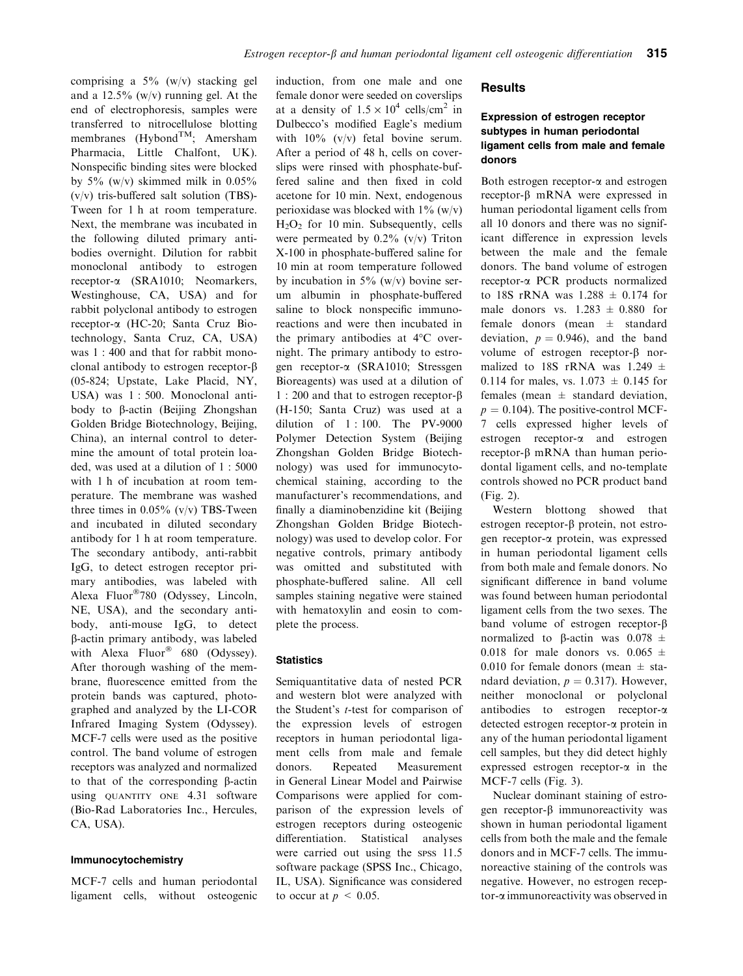comprising a  $5\%$  (w/v) stacking gel and a  $12.5\%$  (w/v) running gel. At the end of electrophoresis, samples were transferred to nitrocellulose blotting membranes (Hybond<sup>TM</sup>; Amersham Pharmacia, Little Chalfont, UK). Nonspecific binding sites were blocked by  $5\%$  (w/v) skimmed milk in  $0.05\%$ (v/v) tris-buffered salt solution (TBS)- Tween for 1 h at room temperature. Next, the membrane was incubated in the following diluted primary antibodies overnight. Dilution for rabbit monoclonal antibody to estrogen receptor-a (SRA1010; Neomarkers, Westinghouse, CA, USA) and for rabbit polyclonal antibody to estrogen receptor-a (HC-20; Santa Cruz Biotechnology, Santa Cruz, CA, USA) was 1 : 400 and that for rabbit monoclonal antibody to estrogen receptor- $\beta$ (05-824; Upstate, Lake Placid, NY, USA) was 1 : 500. Monoclonal antibody to b-actin (Beijing Zhongshan Golden Bridge Biotechnology, Beijing, China), an internal control to determine the amount of total protein loaded, was used at a dilution of 1 : 5000 with 1 h of incubation at room temperature. The membrane was washed three times in  $0.05\%$  (v/v) TBS-Tween and incubated in diluted secondary antibody for 1 h at room temperature. The secondary antibody, anti-rabbit IgG, to detect estrogen receptor primary antibodies, was labeled with Alexa Fluor<sup>®</sup>780 (Odyssey, Lincoln, NE, USA), and the secondary antibody, anti-mouse IgG, to detect b-actin primary antibody, was labeled with Alexa Fluor<sup>®</sup> 680 (Odyssey). After thorough washing of the membrane, fluorescence emitted from the protein bands was captured, photographed and analyzed by the LI-COR Infrared Imaging System (Odyssey). MCF-7 cells were used as the positive control. The band volume of estrogen receptors was analyzed and normalized to that of the corresponding  $\beta$ -actin using QUANTITY ONE 4.31 software (Bio-Rad Laboratories Inc., Hercules, CA, USA).

#### Immunocytochemistry

MCF-7 cells and human periodontal ligament cells, without osteogenic induction, from one male and one female donor were seeded on coverslips at a density of  $1.5 \times 10^4$  cells/cm<sup>2</sup> in Dulbecco's modified Eagle's medium with  $10\%$  (v/v) fetal bovine serum. After a period of 48 h, cells on coverslips were rinsed with phosphate-buffered saline and then fixed in cold acetone for 10 min. Next, endogenous perioxidase was blocked with  $1\%$  (w/v)  $H<sub>2</sub>O<sub>2</sub>$  for 10 min. Subsequently, cells were permeated by  $0.2\%$  (v/v) Triton X-100 in phosphate-buffered saline for 10 min at room temperature followed by incubation in  $5\%$  (w/v) bovine serum albumin in phosphate-buffered saline to block nonspecific immunoreactions and were then incubated in the primary antibodies at  $4^{\circ}$ C overnight. The primary antibody to estrogen receptor-a (SRA1010; Stressgen Bioreagents) was used at a dilution of 1 : 200 and that to estrogen receptor-b (H-150; Santa Cruz) was used at a dilution of 1 : 100. The PV-9000 Polymer Detection System (Beijing Zhongshan Golden Bridge Biotechnology) was used for immunocytochemical staining, according to the manufacturer's recommendations, and finally a diaminobenzidine kit (Beijing Zhongshan Golden Bridge Biotechnology) was used to develop color. For negative controls, primary antibody was omitted and substituted with phosphate-buffered saline. All cell samples staining negative were stained with hematoxylin and eosin to complete the process.

#### **Statistics**

Semiquantitative data of nested PCR and western blot were analyzed with the Student's t-test for comparison of the expression levels of estrogen receptors in human periodontal ligament cells from male and female donors. Repeated Measurement in General Linear Model and Pairwise Comparisons were applied for comparison of the expression levels of estrogen receptors during osteogenic differentiation. Statistical analyses were carried out using the spss 11.5 software package (SPSS Inc., Chicago, IL, USA). Significance was considered to occur at  $p \leq 0.05$ .

#### **Results**

# Expression of estrogen receptor subtypes in human periodontal ligament cells from male and female donors

Both estrogen receptor-a and estrogen receptor-b mRNA were expressed in human periodontal ligament cells from all 10 donors and there was no significant difference in expression levels between the male and the female donors. The band volume of estrogen receptor-a PCR products normalized to 18S rRNA was  $1.288 \pm 0.174$  for male donors vs.  $1.283 \pm 0.880$  for female donors (mean ± standard deviation,  $p = 0.946$ , and the band volume of estrogen receptor- $\beta$  normalized to 18S rRNA was 1.249  $\pm$ 0.114 for males, vs.  $1.073 \pm 0.145$  for females (mean  $\pm$  standard deviation.  $p = 0.104$ ). The positive-control MCF-7 cells expressed higher levels of estrogen receptor-a and estrogen receptor- $\beta$  mRNA than human periodontal ligament cells, and no-template controls showed no PCR product band (Fig. 2).

Western blottong showed that estrogen receptor- $\beta$  protein, not estrogen receptor-a protein, was expressed in human periodontal ligament cells from both male and female donors. No significant difference in band volume was found between human periodontal ligament cells from the two sexes. The band volume of estrogen receptor- $\beta$ normalized to  $\beta$ -actin was  $0.078 \pm$ 0.018 for male donors vs. 0.065  $\pm$ 0.010 for female donors (mean  $\pm$  standard deviation,  $p = 0.317$ ). However, neither monoclonal or polyclonal antibodies to estrogen receptor-a detected estrogen receptor-a protein in any of the human periodontal ligament cell samples, but they did detect highly expressed estrogen receptor- $\alpha$  in the MCF-7 cells (Fig. 3).

Nuclear dominant staining of estrogen receptor-b immunoreactivity was shown in human periodontal ligament cells from both the male and the female donors and in MCF-7 cells. The immunoreactive staining of the controls was negative. However, no estrogen receptor-a immunoreactivity was observed in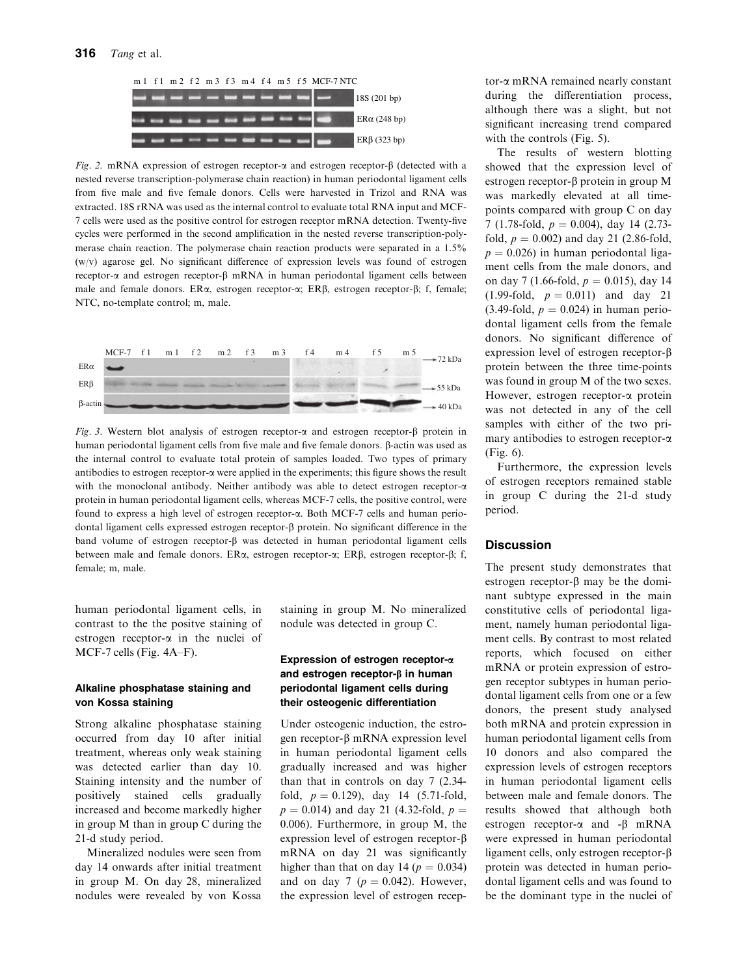

Fig. 2. mRNA expression of estrogen receptor- $\alpha$  and estrogen receptor- $\beta$  (detected with a nested reverse transcription-polymerase chain reaction) in human periodontal ligament cells from five male and five female donors. Cells were harvested in Trizol and RNA was extracted. 18S rRNA was used as the internal control to evaluate total RNA input and MCF-7 cells were used as the positive control for estrogen receptor mRNA detection. Twenty-five cycles were performed in the second amplification in the nested reverse transcription-polymerase chain reaction. The polymerase chain reaction products were separated in a 1.5% (w/v) agarose gel. No significant difference of expression levels was found of estrogen receptor- $\alpha$  and estrogen receptor- $\beta$  mRNA in human periodontal ligament cells between male and female donors.  $ER\alpha$ , estrogen receptor- $\alpha$ ;  $ER\beta$ , estrogen receptor- $\beta$ ; f, female; NTC, no-template control; m, male.



Fig. 3. Western blot analysis of estrogen receptor- $\alpha$  and estrogen receptor- $\beta$  protein in human periodontal ligament cells from five male and five female donors. b-actin was used as the internal control to evaluate total protein of samples loaded. Two types of primary antibodies to estrogen receptor-a were applied in the experiments; this figure shows the result with the monoclonal antibody. Neither antibody was able to detect estrogen receptor- $\alpha$ protein in human periodontal ligament cells, whereas MCF-7 cells, the positive control, were found to express a high level of estrogen receptor-a. Both MCF-7 cells and human periodontal ligament cells expressed estrogen receptor- $\beta$  protein. No significant difference in the band volume of estrogen receptor- $\beta$  was detected in human periodontal ligament cells between male and female donors. ERα, estrogen receptor-α; ERβ, estrogen receptor-β; f, female; m, male.

human periodontal ligament cells, in contrast to the the positve staining of estrogen receptor-a in the nuclei of MCF-7 cells (Fig. 4A–F).

# Alkaline phosphatase staining and von Kossa staining

Strong alkaline phosphatase staining occurred from day 10 after initial treatment, whereas only weak staining was detected earlier than day 10. Staining intensity and the number of positively stained cells gradually increased and become markedly higher in group M than in group C during the 21-d study period.

Mineralized nodules were seen from day 14 onwards after initial treatment in group M. On day 28, mineralized nodules were revealed by von Kossa staining in group M. No mineralized nodule was detected in group C.

# Expression of estrogen receptor-a and estrogen receptor- $\beta$  in human periodontal ligament cells during their osteogenic differentiation

Under osteogenic induction, the estrogen receptor- $\beta$  mRNA expression level in human periodontal ligament cells gradually increased and was higher than that in controls on day 7 (2.34 fold,  $p = 0.129$ ), day 14 (5.71-fold,  $p = 0.014$ ) and day 21 (4.32-fold,  $p =$ 0.006). Furthermore, in group M, the expression level of estrogen receptor- $\beta$ mRNA on day 21 was significantly higher than that on day 14 ( $p = 0.034$ ) and on day 7 ( $p = 0.042$ ). However, the expression level of estrogen receptor-a mRNA remained nearly constant during the differentiation process, although there was a slight, but not significant increasing trend compared with the controls (Fig. 5).

The results of western blotting showed that the expression level of estrogen receptor- $\beta$  protein in group M was markedly elevated at all timepoints compared with group C on day 7 (1.78-fold,  $p = 0.004$ ), day 14 (2.73fold,  $p = 0.002$ ) and day 21 (2.86-fold,  $p = 0.026$ ) in human periodontal ligament cells from the male donors, and on day 7 (1.66-fold,  $p = 0.015$ ), day 14  $(1.99-fold, p = 0.011)$  and day 21  $(3.49\text{-fold}, p = 0.024)$  in human periodontal ligament cells from the female donors. No significant difference of expression level of estrogen receptor- $\beta$ protein between the three time-points was found in group M of the two sexes. However, estrogen receptor-a protein was not detected in any of the cell samples with either of the two primary antibodies to estrogen receptor-a (Fig. 6).

Furthermore, the expression levels of estrogen receptors remained stable in group C during the 21-d study period.

# **Discussion**

The present study demonstrates that estrogen receptor- $\beta$  may be the dominant subtype expressed in the main constitutive cells of periodontal ligament, namely human periodontal ligament cells. By contrast to most related reports, which focused on either mRNA or protein expression of estrogen receptor subtypes in human periodontal ligament cells from one or a few donors, the present study analysed both mRNA and protein expression in human periodontal ligament cells from 10 donors and also compared the expression levels of estrogen receptors in human periodontal ligament cells between male and female donors. The results showed that although both estrogen receptor- $\alpha$  and - $\beta$  mRNA were expressed in human periodontal ligament cells, only estrogen receptor- $\beta$ protein was detected in human periodontal ligament cells and was found to be the dominant type in the nuclei of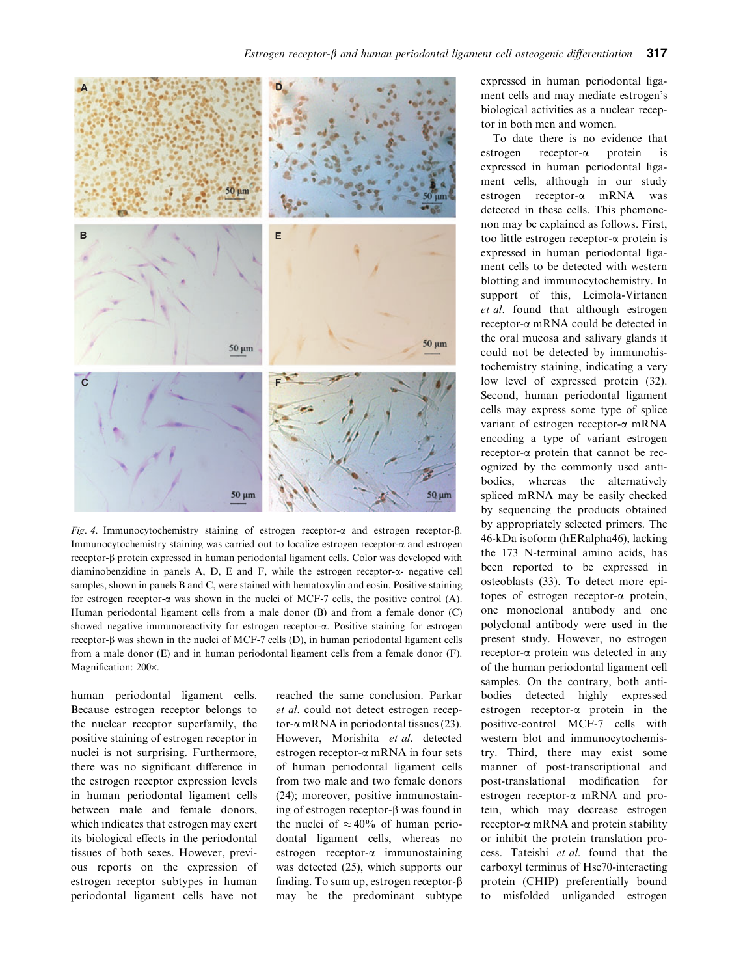

Fig. 4. Immunocytochemistry staining of estrogen receptor- $\alpha$  and estrogen receptor- $\beta$ . Immunocytochemistry staining was carried out to localize estrogen receptor-a and estrogen receptor-b protein expressed in human periodontal ligament cells. Color was developed with diaminobenzidine in panels A, D, E and F, while the estrogen receptor- $\alpha$ - negative cell samples, shown in panels B and C, were stained with hematoxylin and eosin. Positive staining for estrogen receptor- $\alpha$  was shown in the nuclei of MCF-7 cells, the positive control (A). Human periodontal ligament cells from a male donor (B) and from a female donor (C) showed negative immunoreactivity for estrogen receptor-a. Positive staining for estrogen receptor- $\beta$  was shown in the nuclei of MCF-7 cells (D), in human periodontal ligament cells from a male donor (E) and in human periodontal ligament cells from a female donor (F). Magnification: 200×.

human periodontal ligament cells. Because estrogen receptor belongs to the nuclear receptor superfamily, the positive staining of estrogen receptor in nuclei is not surprising. Furthermore, there was no significant difference in the estrogen receptor expression levels in human periodontal ligament cells between male and female donors, which indicates that estrogen may exert its biological effects in the periodontal tissues of both sexes. However, previous reports on the expression of estrogen receptor subtypes in human periodontal ligament cells have not reached the same conclusion. Parkar et al. could not detect estrogen receptor- $\alpha$  mRNA in periodontal tissues (23). However, Morishita et al. detected estrogen receptor-a mRNA in four sets of human periodontal ligament cells from two male and two female donors (24); moreover, positive immunostaining of estrogen receptor- $\beta$  was found in the nuclei of  $\approx 40\%$  of human periodontal ligament cells, whereas no estrogen receptor-a immunostaining was detected (25), which supports our finding. To sum up, estrogen receptor- $\beta$ may be the predominant subtype

expressed in human periodontal ligament cells and may mediate estrogen's biological activities as a nuclear receptor in both men and women.

To date there is no evidence that estrogen receptor-a protein is expressed in human periodontal ligament cells, although in our study estrogen receptor-a mRNA was detected in these cells. This phemonenon may be explained as follows. First, too little estrogen receptor-a protein is expressed in human periodontal ligament cells to be detected with western blotting and immunocytochemistry. In support of this, Leimola-Virtanen et al. found that although estrogen receptor-a mRNA could be detected in the oral mucosa and salivary glands it could not be detected by immunohistochemistry staining, indicating a very low level of expressed protein (32). Second, human periodontal ligament cells may express some type of splice variant of estrogen receptor-a mRNA encoding a type of variant estrogen receptor-a protein that cannot be recognized by the commonly used antibodies, whereas the alternatively spliced mRNA may be easily checked by sequencing the products obtained by appropriately selected primers. The 46-kDa isoform (hERalpha46), lacking the 173 N-terminal amino acids, has been reported to be expressed in osteoblasts (33). To detect more epitopes of estrogen receptor-a protein, one monoclonal antibody and one polyclonal antibody were used in the present study. However, no estrogen receptor-a protein was detected in any of the human periodontal ligament cell samples. On the contrary, both antibodies detected highly expressed estrogen receptor-a protein in the positive-control MCF-7 cells with western blot and immunocytochemistry. Third, there may exist some manner of post-transcriptional and post-translational modification for estrogen receptor-a mRNA and protein, which may decrease estrogen receptor-a mRNA and protein stability or inhibit the protein translation process. Tateishi et al. found that the carboxyl terminus of Hsc70-interacting protein (CHIP) preferentially bound to misfolded unliganded estrogen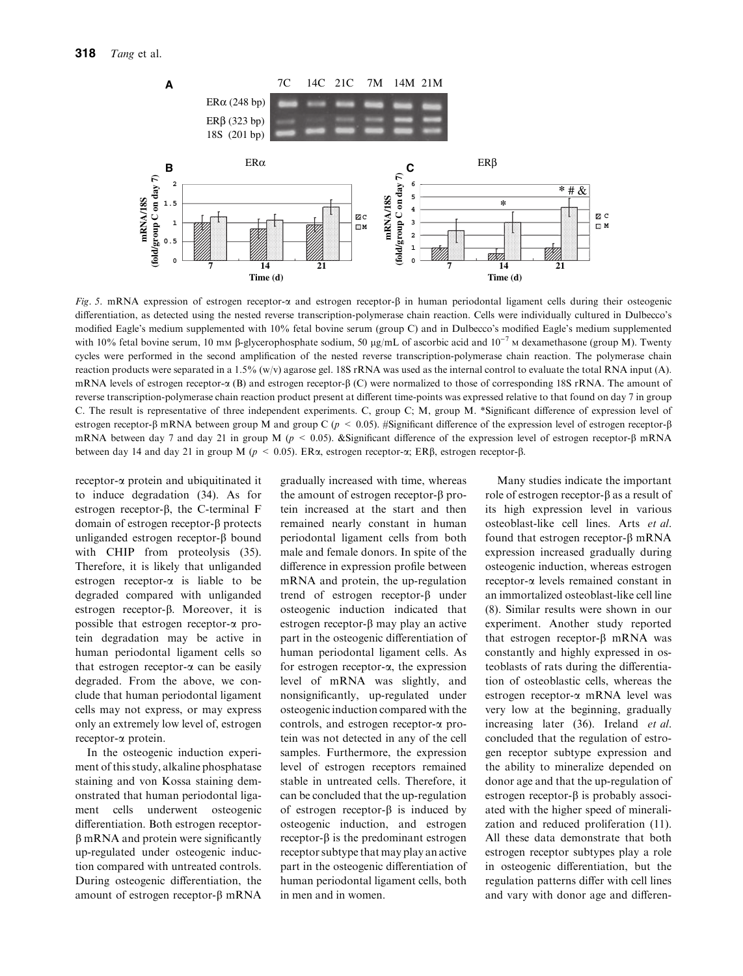

Fig. 5. mRNA expression of estrogen receptor- $\alpha$  and estrogen receptor- $\beta$  in human periodontal ligament cells during their osteogenic differentiation, as detected using the nested reverse transcription-polymerase chain reaction. Cells were individually cultured in Dulbecco's modified Eagle's medium supplemented with 10% fetal bovine serum (group C) and in Dulbecco's modified Eagle's medium supplemented with 10% fetal bovine serum, 10 mm  $\beta$ -glycerophosphate sodium, 50 µg/mL of ascorbic acid and  $10^{-7}$  M dexamethasone (group M). Twenty cycles were performed in the second amplification of the nested reverse transcription-polymerase chain reaction. The polymerase chain reaction products were separated in a 1.5% (w/v) agarose gel. 18S rRNA was used as the internal control to evaluate the total RNA input (A). mRNA levels of estrogen receptor- $\alpha$  (B) and estrogen receptor- $\beta$  (C) were normalized to those of corresponding 18S rRNA. The amount of reverse transcription-polymerase chain reaction product present at different time-points was expressed relative to that found on day 7 in group C. The result is representative of three independent experiments. C, group C; M, group M. \*Significant difference of expression level of estrogen receptor- $\beta$  mRNA between group M and group C ( $p < 0.05$ ). #Significant difference of the expression level of estrogen receptor- $\beta$ mRNA between day 7 and day 21 in group M ( $p < 0.05$ ). &Significant difference of the expression level of estrogen receptor- $\beta$  mRNA between day 14 and day 21 in group M ( $p < 0.05$ ). ER $\alpha$ , estrogen receptor- $\alpha$ ; ER $\beta$ , estrogen receptor- $\beta$ .

receptor-a protein and ubiquitinated it to induce degradation (34). As for estrogen receptor- $\beta$ , the C-terminal F domain of estrogen receptor- $\beta$  protects unliganded estrogen receptor- $\beta$  bound with CHIP from proteolysis (35). Therefore, it is likely that unliganded estrogen receptor- $\alpha$  is liable to be degraded compared with unliganded estrogen receptor- $\beta$ . Moreover, it is possible that estrogen receptor-a protein degradation may be active in human periodontal ligament cells so that estrogen receptor- $\alpha$  can be easily degraded. From the above, we conclude that human periodontal ligament cells may not express, or may express only an extremely low level of, estrogen receptor-a protein.

In the osteogenic induction experiment of this study, alkaline phosphatase staining and von Kossa staining demonstrated that human periodontal ligament cells underwent osteogenic differentiation. Both estrogen receptor- $\beta$  mRNA and protein were significantly up-regulated under osteogenic induction compared with untreated controls. During osteogenic differentiation, the amount of estrogen receptor- $\beta$  mRNA gradually increased with time, whereas the amount of estrogen receptor- $\beta$  protein increased at the start and then remained nearly constant in human periodontal ligament cells from both male and female donors. In spite of the difference in expression profile between mRNA and protein, the up-regulation trend of estrogen receptor- $\beta$  under osteogenic induction indicated that estrogen receptor- $\beta$  may play an active part in the osteogenic differentiation of human periodontal ligament cells. As for estrogen receptor-a, the expression level of mRNA was slightly, and nonsignificantly, up-regulated under osteogenic induction compared with the controls, and estrogen receptor-a protein was not detected in any of the cell samples. Furthermore, the expression level of estrogen receptors remained stable in untreated cells. Therefore, it can be concluded that the up-regulation of estrogen receptor- $\beta$  is induced by osteogenic induction, and estrogen  $receptor-\beta$  is the predominant estrogen receptor subtype that may play an active part in the osteogenic differentiation of human periodontal ligament cells, both in men and in women.

Many studies indicate the important role of estrogen receptor- $\beta$  as a result of its high expression level in various osteoblast-like cell lines. Arts et al. found that estrogen receptor- $\beta$  mRNA expression increased gradually during osteogenic induction, whereas estrogen receptor-a levels remained constant in an immortalized osteoblast-like cell line (8). Similar results were shown in our experiment. Another study reported that estrogen receptor- $\beta$  mRNA was constantly and highly expressed in osteoblasts of rats during the differentiation of osteoblastic cells, whereas the estrogen receptor-a mRNA level was very low at the beginning, gradually increasing later (36). Ireland et al. concluded that the regulation of estrogen receptor subtype expression and the ability to mineralize depended on donor age and that the up-regulation of estrogen receptor- $\beta$  is probably associated with the higher speed of mineralization and reduced proliferation (11). All these data demonstrate that both estrogen receptor subtypes play a role in osteogenic differentiation, but the regulation patterns differ with cell lines and vary with donor age and differen-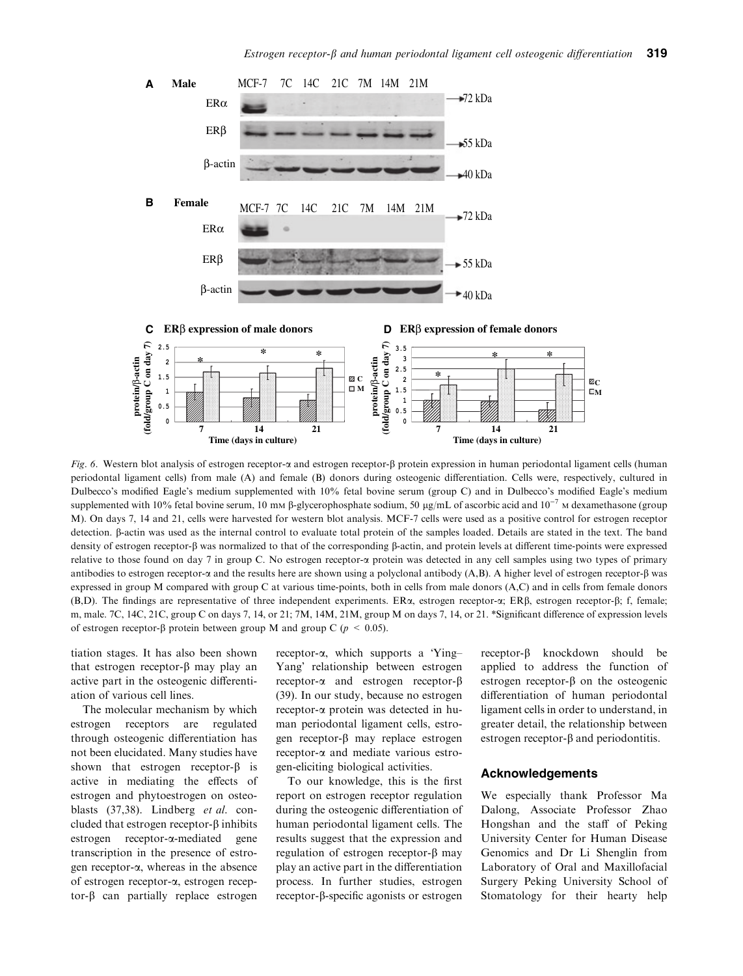

Fig. 6. Western blot analysis of estrogen receptor-a and estrogen receptor- $\beta$  protein expression in human periodontal ligament cells (human periodontal ligament cells) from male (A) and female (B) donors during osteogenic differentiation. Cells were, respectively, cultured in Dulbecco's modified Eagle's medium supplemented with 10% fetal bovine serum (group C) and in Dulbecco's modified Eagle's medium supplemented with 10% fetal bovine serum, 10 mm  $\beta$ -glycerophosphate sodium, 50 µg/mL of ascorbic acid and  $10^{-7}$  M dexamethasone (group M). On days 7, 14 and 21, cells were harvested for western blot analysis. MCF-7 cells were used as a positive control for estrogen receptor detection. B-actin was used as the internal control to evaluate total protein of the samples loaded. Details are stated in the text. The band density of estrogen receptor-b was normalized to that of the corresponding b-actin, and protein levels at different time-points were expressed relative to those found on day 7 in group C. No estrogen receptor-a protein was detected in any cell samples using two types of primary antibodies to estrogen receptor- $\alpha$  and the results here are shown using a polyclonal antibody (A,B). A higher level of estrogen receptor- $\beta$  was expressed in group M compared with group C at various time-points, both in cells from male donors (A,C) and in cells from female donors (B,D). The findings are representative of three independent experiments. ERa, estrogen receptor-a; ERb, estrogen receptor-b; f, female; m, male. 7C, 14C, 21C, group C on days 7, 14, or 21; 7M, 14M, 21M, group M on days 7, 14, or 21. \*Significant difference of expression levels of estrogen receptor- $\beta$  protein between group M and group C ( $p \le 0.05$ ).

tiation stages. It has also been shown that estrogen receptor- $\beta$  may play an active part in the osteogenic differentiation of various cell lines.

The molecular mechanism by which estrogen receptors are regulated through osteogenic differentiation has not been elucidated. Many studies have shown that estrogen receptor- $\beta$  is active in mediating the effects of estrogen and phytoestrogen on osteoblasts (37,38). Lindberg et al. concluded that estrogen receptor- $\beta$  inhibits estrogen receptor-a-mediated gene transcription in the presence of estrogen receptor-a, whereas in the absence of estrogen receptor-a, estrogen receptor- $\beta$  can partially replace estrogen

receptor- $\alpha$ , which supports a Ying-Yang' relationship between estrogen receptor- $\alpha$  and estrogen receptor- $\beta$ (39). In our study, because no estrogen receptor-a protein was detected in human periodontal ligament cells, estrogen receptor- $\beta$  may replace estrogen receptor-a and mediate various estrogen-eliciting biological activities.

To our knowledge, this is the first report on estrogen receptor regulation during the osteogenic differentiation of human periodontal ligament cells. The results suggest that the expression and regulation of estrogen receptor- $\beta$  may play an active part in the differentiation process. In further studies, estrogen receptor-b-specific agonists or estrogen

receptor-b knockdown should be applied to address the function of estrogen receptor- $\beta$  on the osteogenic differentiation of human periodontal ligament cells in order to understand, in greater detail, the relationship between estrogen receptor- $\beta$  and periodontitis.

#### Acknowledgements

We especially thank Professor Ma Dalong, Associate Professor Zhao Hongshan and the staff of Peking University Center for Human Disease Genomics and Dr Li Shenglin from Laboratory of Oral and Maxillofacial Surgery Peking University School of Stomatology for their hearty help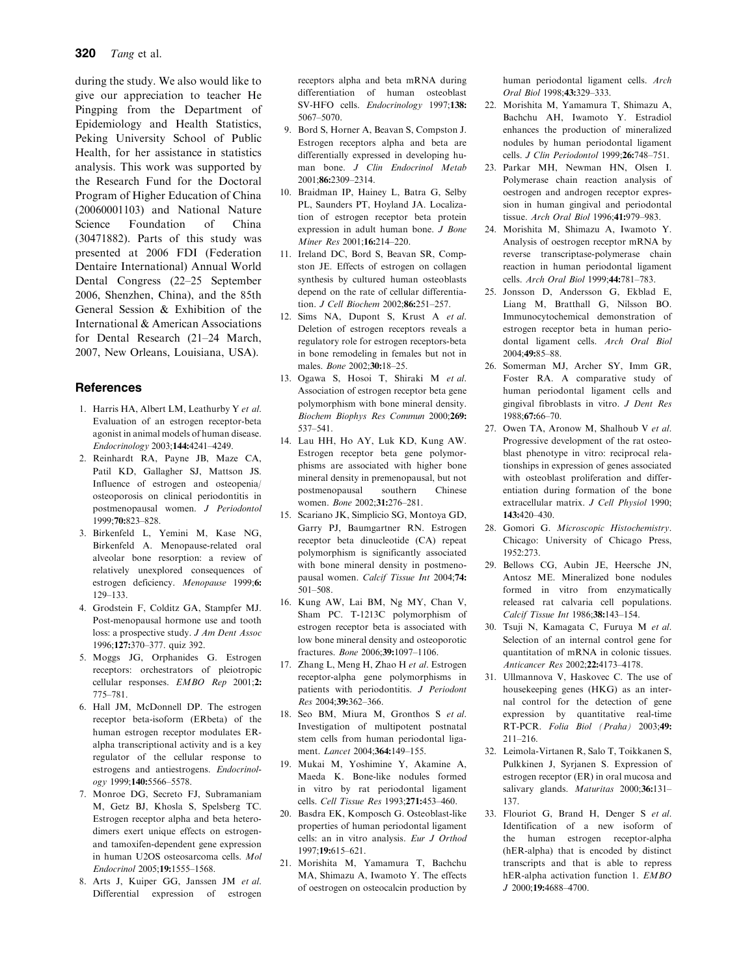during the study. We also would like to give our appreciation to teacher He Pingping from the Department of Epidemiology and Health Statistics, Peking University School of Public Health, for her assistance in statistics analysis. This work was supported by the Research Fund for the Doctoral Program of Higher Education of China (20060001103) and National Nature Science Foundation of China (30471882). Parts of this study was presented at 2006 FDI (Federation Dentaire International) Annual World Dental Congress (22–25 September 2006, Shenzhen, China), and the 85th General Session & Exhibition of the International & American Associations for Dental Research (21–24 March, 2007, New Orleans, Louisiana, USA).

# **References**

- 1. Harris HA, Albert LM, Leathurby Y et al. Evaluation of an estrogen receptor-beta agonist in animal models of human disease. Endocrinology 2003;144:4241–4249.
- 2. Reinhardt RA, Payne JB, Maze CA, Patil KD, Gallagher SJ, Mattson JS. Influence of estrogen and osteopenia/ osteoporosis on clinical periodontitis in postmenopausal women. J Periodontol 1999;70:823–828.
- 3. Birkenfeld L, Yemini M, Kase NG, Birkenfeld A. Menopause-related oral alveolar bone resorption: a review of relatively unexplored consequences of estrogen deficiency. Menopause 1999;6: 129–133.
- 4. Grodstein F, Colditz GA, Stampfer MJ. Post-menopausal hormone use and tooth loss: a prospective study. J Am Dent Assoc 1996;127:370–377. quiz 392.
- 5. Moggs JG, Orphanides G. Estrogen receptors: orchestrators of pleiotropic cellular responses. EMBO Rep 2001;2: 775–781.
- 6. Hall JM, McDonnell DP. The estrogen receptor beta-isoform (ERbeta) of the human estrogen receptor modulates ERalpha transcriptional activity and is a key regulator of the cellular response to estrogens and antiestrogens. Endocrinology 1999;140:5566–5578.
- 7. Monroe DG, Secreto FJ, Subramaniam M, Getz BJ, Khosla S, Spelsberg TC. Estrogen receptor alpha and beta heterodimers exert unique effects on estrogenand tamoxifen-dependent gene expression in human U2OS osteosarcoma cells. Mol Endocrinol 2005;19:1555–1568.
- 8. Arts J, Kuiper GG, Janssen JM et al. Differential expression of estrogen

receptors alpha and beta mRNA during differentiation of human osteoblast SV-HFO cells. Endocrinology 1997;138: 5067–5070.

- 9. Bord S, Horner A, Beavan S, Compston J. Estrogen receptors alpha and beta are differentially expressed in developing human bone. J Clin Endocrinol Metab 2001;86:2309–2314.
- 10. Braidman IP, Hainey L, Batra G, Selby PL, Saunders PT, Hoyland JA. Localization of estrogen receptor beta protein expression in adult human bone. J Bone Miner, Res. 2001:16:214-220.
- 11. Ireland DC, Bord S, Beavan SR, Compston JE. Effects of estrogen on collagen synthesis by cultured human osteoblasts depend on the rate of cellular differentiation. J Cell Biochem 2002;86:251–257.
- 12. Sims NA, Dupont S, Krust A et al. Deletion of estrogen receptors reveals a regulatory role for estrogen receptors-beta in bone remodeling in females but not in males. Bone 2002;30:18–25.
- 13. Ogawa S, Hosoi T, Shiraki M et al. Association of estrogen receptor beta gene polymorphism with bone mineral density. Biochem Biophys Res Commun 2000;269: 537–541.
- 14. Lau HH, Ho AY, Luk KD, Kung AW. Estrogen receptor beta gene polymorphisms are associated with higher bone mineral density in premenopausal, but not postmenopausal southern Chinese women. Bone 2002;31:276–281.
- 15. Scariano JK, Simplicio SG, Montoya GD, Garry PJ, Baumgartner RN. Estrogen receptor beta dinucleotide (CA) repeat polymorphism is significantly associated with bone mineral density in postmenopausal women. Calcif Tissue Int 2004;74: 501–508.
- 16. Kung AW, Lai BM, Ng MY, Chan V, Sham PC. T-1213C polymorphism of estrogen receptor beta is associated with low bone mineral density and osteoporotic fractures. Bone 2006;39:1097–1106.
- 17. Zhang L, Meng H, Zhao H et al. Estrogen receptor-alpha gene polymorphisms in patients with periodontitis. J Periodont Res 2004;39:362–366.
- 18. Seo BM, Miura M, Gronthos S et al. Investigation of multipotent postnatal stem cells from human periodontal ligament. Lancet 2004;364:149-155.
- 19. Mukai M, Yoshimine Y, Akamine A, Maeda K. Bone-like nodules formed in vitro by rat periodontal ligament cells. Cell Tissue Res 1993;271:453–460.
- 20. Basdra EK, Komposch G. Osteoblast-like properties of human periodontal ligament cells: an in vitro analysis. Eur J Orthod 1997;19:615–621.
- 21. Morishita M, Yamamura T, Bachchu MA, Shimazu A, Iwamoto Y. The effects of oestrogen on osteocalcin production by

human periodontal ligament cells. Arch Oral Biol 1998;43:329–333.

- 22. Morishita M, Yamamura T, Shimazu A, Bachchu AH, Iwamoto Y. Estradiol enhances the production of mineralized nodules by human periodontal ligament cells. J Clin Periodontol 1999;26:748-751.
- 23. Parkar MH, Newman HN, Olsen I. Polymerase chain reaction analysis of oestrogen and androgen receptor expression in human gingival and periodontal tissue. Arch Oral Biol 1996;41:979–983.
- 24. Morishita M, Shimazu A, Iwamoto Y. Analysis of oestrogen receptor mRNA by reverse transcriptase-polymerase chain reaction in human periodontal ligament cells. Arch Oral Biol 1999;44:781–783.
- 25. Jonsson D, Andersson G, Ekblad E, Liang M, Bratthall G, Nilsson BO. Immunocytochemical demonstration of estrogen receptor beta in human periodontal ligament cells. Arch Oral Biol 2004;49:85–88.
- 26. Somerman MJ, Archer SY, Imm GR, Foster RA. A comparative study of human periodontal ligament cells and gingival fibroblasts in vitro. J Dent Res 1988;67:66–70.
- 27. Owen TA, Aronow M, Shalhoub V et al. Progressive development of the rat osteoblast phenotype in vitro: reciprocal relationships in expression of genes associated with osteoblast proliferation and differentiation during formation of the bone extracellular matrix. J Cell Physiol 1990; 143:420–430.
- 28. Gomori G. Microscopic Histochemistry. Chicago: University of Chicago Press, 1952:273.
- 29. Bellows CG, Aubin JE, Heersche JN, Antosz ME. Mineralized bone nodules formed in vitro from enzymatically released rat calvaria cell populations. Calcif Tissue Int 1986;38:143–154.
- 30. Tsuji N, Kamagata C, Furuya M et al. Selection of an internal control gene for quantitation of mRNA in colonic tissues. Anticancer Res 2002;22:4173–4178.
- 31. Ullmannova V, Haskovec C. The use of housekeeping genes (HKG) as an internal control for the detection of gene expression by quantitative real-time RT-PCR. Folia Biol (Praha) 2003;49: 211–216.
- 32. Leimola-Virtanen R, Salo T, Toikkanen S, Pulkkinen J, Syrjanen S. Expression of estrogen receptor (ER) in oral mucosa and salivary glands. Maturitas 2000;36:131-137.
- 33. Flouriot G, Brand H, Denger S et al. Identification of a new isoform of the human estrogen receptor-alpha (hER-alpha) that is encoded by distinct transcripts and that is able to repress hER-alpha activation function 1. EMBO J 2000;19:4688–4700.